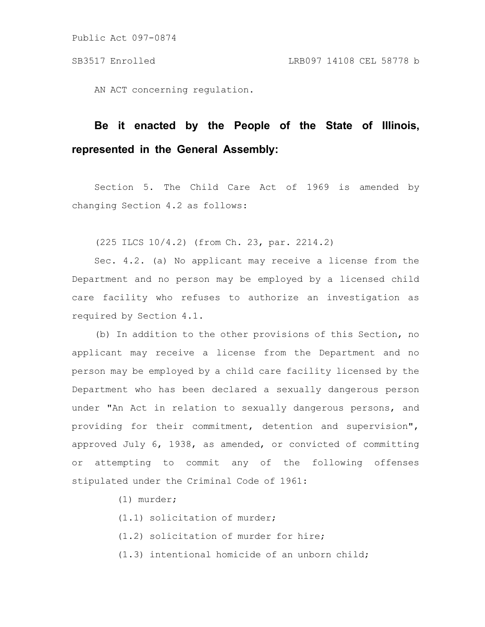AN ACT concerning regulation.

# **Be it enacted by the People of the State of Illinois, represented in the General Assembly:**

Section 5. The Child Care Act of 1969 is amended by changing Section 4.2 as follows:

(225 ILCS 10/4.2) (from Ch. 23, par. 2214.2)

Sec. 4.2. (a) No applicant may receive a license from the Department and no person may be employed by a licensed child care facility who refuses to authorize an investigation as required by Section 4.1.

(b) In addition to the other provisions of this Section, no applicant may receive a license from the Department and no person may be employed by a child care facility licensed by the Department who has been declared a sexually dangerous person under "An Act in relation to sexually dangerous persons, and providing for their commitment, detention and supervision", approved July 6, 1938, as amended, or convicted of committing or attempting to commit any of the following offenses stipulated under the Criminal Code of 1961:

(1) murder;

(1.1) solicitation of murder;

(1.2) solicitation of murder for hire;

(1.3) intentional homicide of an unborn child;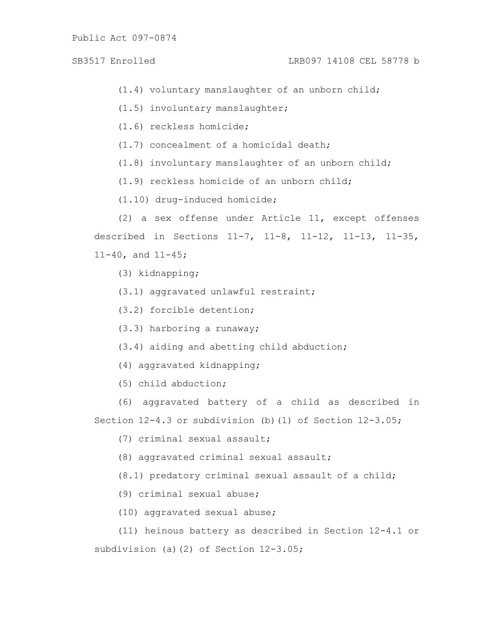- (1.4) voluntary manslaughter of an unborn child;
- (1.5) involuntary manslaughter;
- (1.6) reckless homicide;
- (1.7) concealment of a homicidal death;
- (1.8) involuntary manslaughter of an unborn child;
- (1.9) reckless homicide of an unborn child;
- (1.10) drug-induced homicide;
- (2) a sex offense under Article 11, except offenses described in Sections 11-7, 11-8, 11-12, 11-13, 11-35, 11-40, and 11-45;
	- (3) kidnapping;
	- (3.1) aggravated unlawful restraint;
	- (3.2) forcible detention;
	- (3.3) harboring a runaway;
	- (3.4) aiding and abetting child abduction;
	- (4) aggravated kidnapping;
	- (5) child abduction;
- (6) aggravated battery of a child as described in Section  $12-4.3$  or subdivision (b)(1) of Section  $12-3.05$ ;
	- (7) criminal sexual assault;
	- (8) aggravated criminal sexual assault;
	- (8.1) predatory criminal sexual assault of a child;
	- (9) criminal sexual abuse;
	- (10) aggravated sexual abuse;
- (11) heinous battery as described in Section 12-4.1 or subdivision (a)(2) of Section 12-3.05;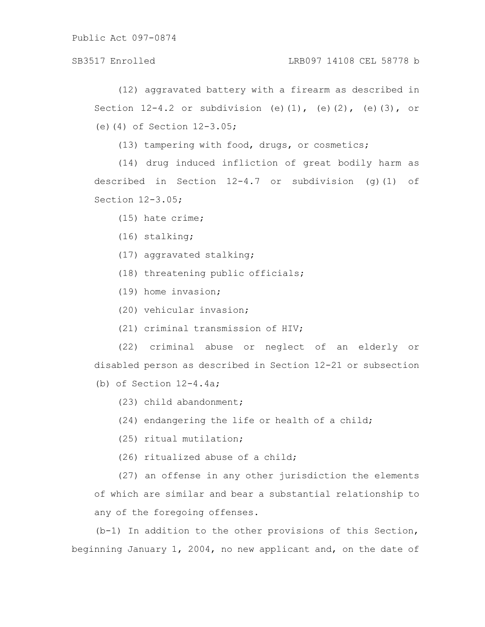## SB3517 Enrolled LRB097 14108 CEL 58778 b

(12) aggravated battery with a firearm as described in Section  $12-4.2$  or subdivision (e)(1), (e)(2), (e)(3), or (e)(4) of Section 12-3.05;

(13) tampering with food, drugs, or cosmetics;

(14) drug induced infliction of great bodily harm as described in Section  $12-4.7$  or subdivision (g)(1) of Section 12-3.05;

(15) hate crime;

- (16) stalking;
- (17) aggravated stalking;
- (18) threatening public officials;
- (19) home invasion;
- (20) vehicular invasion;
- (21) criminal transmission of HIV;

(22) criminal abuse or neglect of an elderly or disabled person as described in Section 12-21 or subsection

(b) of Section  $12-4.4a$ ;

- (23) child abandonment;
- (24) endangering the life or health of a child;
- (25) ritual mutilation;
- (26) ritualized abuse of a child;

(27) an offense in any other jurisdiction the elements of which are similar and bear a substantial relationship to any of the foregoing offenses.

(b-1) In addition to the other provisions of this Section, beginning January 1, 2004, no new applicant and, on the date of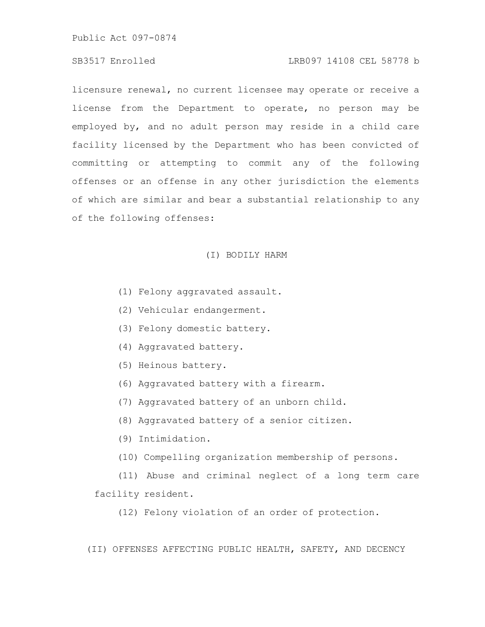## SB3517 Enrolled LRB097 14108 CEL 58778 b

licensure renewal, no current licensee may operate or receive a license from the Department to operate, no person may be employed by, and no adult person may reside in a child care facility licensed by the Department who has been convicted of committing or attempting to commit any of the following offenses or an offense in any other jurisdiction the elements of which are similar and bear a substantial relationship to any of the following offenses:

#### (I) BODILY HARM

- (1) Felony aggravated assault.
- (2) Vehicular endangerment.
- (3) Felony domestic battery.
- (4) Aggravated battery.
- (5) Heinous battery.
- (6) Aggravated battery with a firearm.
- (7) Aggravated battery of an unborn child.
- (8) Aggravated battery of a senior citizen.
- (9) Intimidation.
- (10) Compelling organization membership of persons.

(11) Abuse and criminal neglect of a long term care facility resident.

(12) Felony violation of an order of protection.

(II) OFFENSES AFFECTING PUBLIC HEALTH, SAFETY, AND DECENCY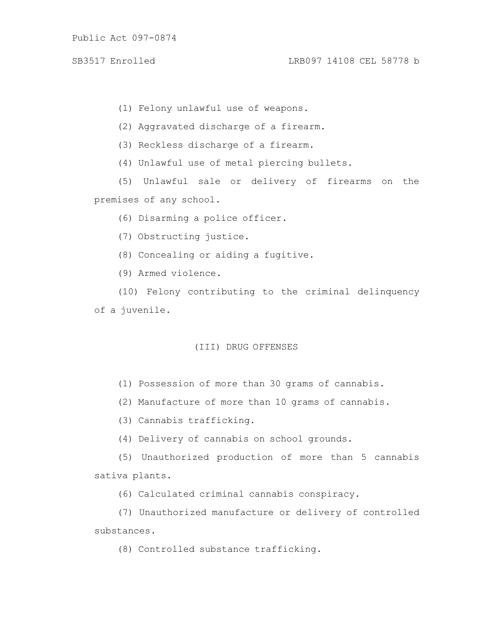(1) Felony unlawful use of weapons.

(2) Aggravated discharge of a firearm.

(3) Reckless discharge of a firearm.

(4) Unlawful use of metal piercing bullets.

(5) Unlawful sale or delivery of firearms on the premises of any school.

(6) Disarming a police officer.

(7) Obstructing justice.

(8) Concealing or aiding a fugitive.

(9) Armed violence.

(10) Felony contributing to the criminal delinquency of a juvenile.

## (III) DRUG OFFENSES

(1) Possession of more than 30 grams of cannabis.

(2) Manufacture of more than 10 grams of cannabis.

(3) Cannabis trafficking.

(4) Delivery of cannabis on school grounds.

(5) Unauthorized production of more than 5 cannabis sativa plants.

(6) Calculated criminal cannabis conspiracy.

(7) Unauthorized manufacture or delivery of controlled substances.

(8) Controlled substance trafficking.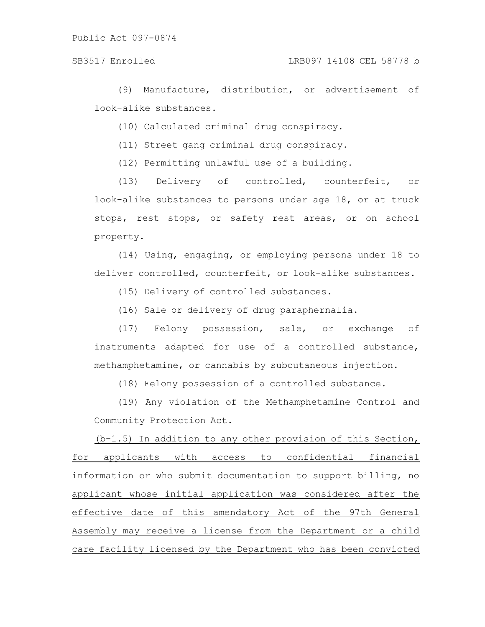(9) Manufacture, distribution, or advertisement of look-alike substances.

(10) Calculated criminal drug conspiracy.

(11) Street gang criminal drug conspiracy.

(12) Permitting unlawful use of a building.

(13) Delivery of controlled, counterfeit, or look-alike substances to persons under age 18, or at truck stops, rest stops, or safety rest areas, or on school property.

(14) Using, engaging, or employing persons under 18 to deliver controlled, counterfeit, or look-alike substances.

(15) Delivery of controlled substances.

(16) Sale or delivery of drug paraphernalia.

(17) Felony possession, sale, or exchange of instruments adapted for use of a controlled substance, methamphetamine, or cannabis by subcutaneous injection.

(18) Felony possession of a controlled substance.

(19) Any violation of the Methamphetamine Control and Community Protection Act.

(b-1.5) In addition to any other provision of this Section, for applicants with access to confidential financial information or who submit documentation to support billing, no applicant whose initial application was considered after the effective date of this amendatory Act of the 97th General Assembly may receive a license from the Department or a child care facility licensed by the Department who has been convicted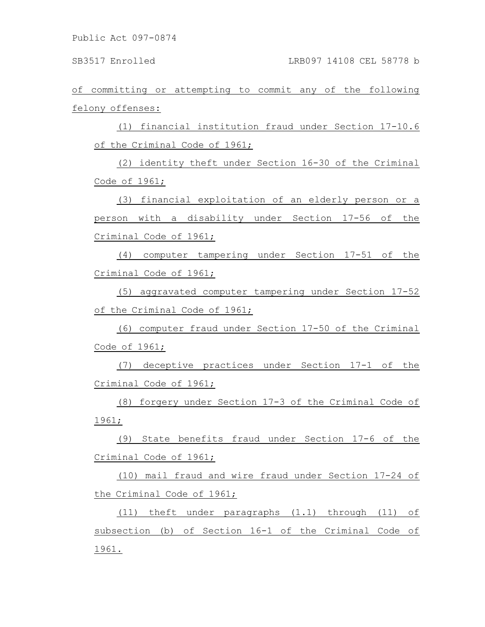of committing or attempting to commit any of the following felony offenses:

(1) financial institution fraud under Section 17-10.6 of the Criminal Code of 1961;

(2) identity theft under Section 16-30 of the Criminal Code of 1961;

(3) financial exploitation of an elderly person or a person with a disability under Section 17-56 of the Criminal Code of 1961;

(4) computer tampering under Section 17-51 of the Criminal Code of 1961;

(5) aggravated computer tampering under Section 17-52 of the Criminal Code of 1961;

(6) computer fraud under Section 17-50 of the Criminal Code of 1961;

(7) deceptive practices under Section 17-1 of the Criminal Code of 1961;

(8) forgery under Section 17-3 of the Criminal Code of 1961;

(9) State benefits fraud under Section 17-6 of the Criminal Code of 1961;

(10) mail fraud and wire fraud under Section 17-24 of the Criminal Code of 1961;

(11) theft under paragraphs (1.1) through (11) of subsection (b) of Section 16-1 of the Criminal Code of 1961.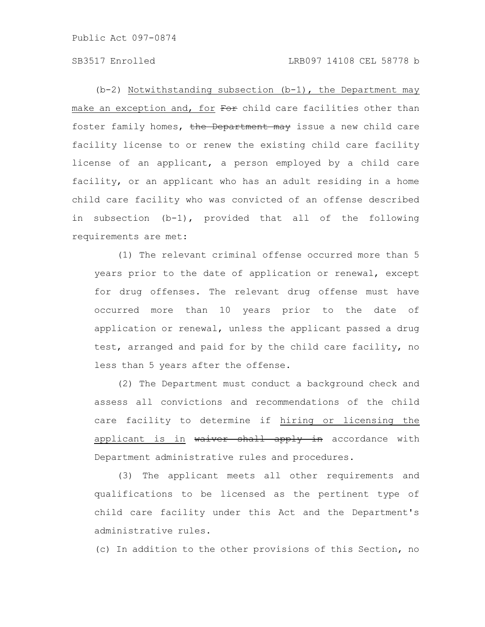$(b-2)$  Notwithstanding subsection  $(b-1)$ , the Department may make an exception and, for For child care facilities other than foster family homes, the Department may issue a new child care facility license to or renew the existing child care facility license of an applicant, a person employed by a child care facility, or an applicant who has an adult residing in a home child care facility who was convicted of an offense described in subsection (b-1), provided that all of the following requirements are met:

(1) The relevant criminal offense occurred more than 5 years prior to the date of application or renewal, except for drug offenses. The relevant drug offense must have occurred more than 10 years prior to the date of application or renewal, unless the applicant passed a drug test, arranged and paid for by the child care facility, no less than 5 years after the offense.

(2) The Department must conduct a background check and assess all convictions and recommendations of the child care facility to determine if hiring or licensing the applicant is in waiver shall apply in accordance with Department administrative rules and procedures.

(3) The applicant meets all other requirements and qualifications to be licensed as the pertinent type of child care facility under this Act and the Department's administrative rules.

(c) In addition to the other provisions of this Section, no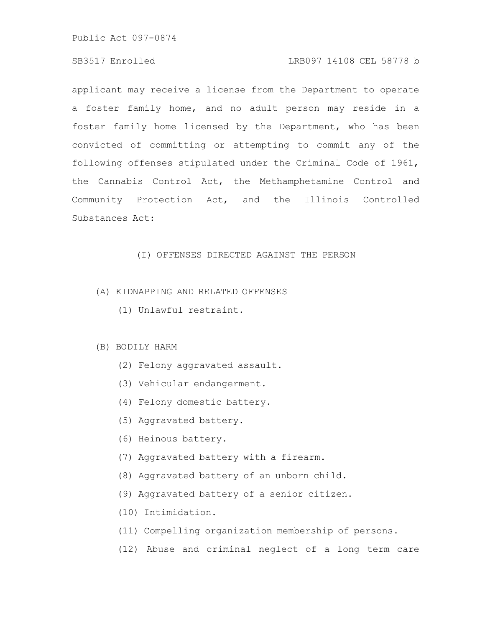# SB3517 Enrolled LRB097 14108 CEL 58778 b

applicant may receive a license from the Department to operate a foster family home, and no adult person may reside in a foster family home licensed by the Department, who has been convicted of committing or attempting to commit any of the following offenses stipulated under the Criminal Code of 1961, the Cannabis Control Act, the Methamphetamine Control and Community Protection Act, and the Illinois Controlled Substances Act:

## (I) OFFENSES DIRECTED AGAINST THE PERSON

# (A) KIDNAPPING AND RELATED OFFENSES

(1) Unlawful restraint.

#### (B) BODILY HARM

- (2) Felony aggravated assault.
- (3) Vehicular endangerment.
- (4) Felony domestic battery.
- (5) Aggravated battery.
- (6) Heinous battery.
- (7) Aggravated battery with a firearm.
- (8) Aggravated battery of an unborn child.
- (9) Aggravated battery of a senior citizen.
- (10) Intimidation.
- (11) Compelling organization membership of persons.
- (12) Abuse and criminal neglect of a long term care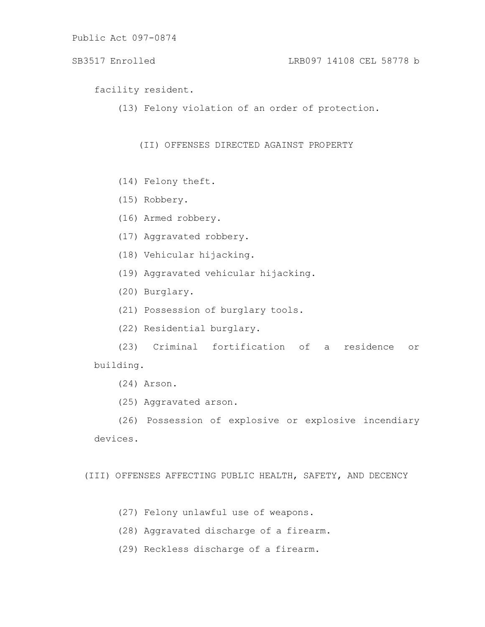SB3517 Enrolled LRB097 14108 CEL 58778 b

facility resident.

(13) Felony violation of an order of protection.

(II) OFFENSES DIRECTED AGAINST PROPERTY

- (14) Felony theft.
- (15) Robbery.
- (16) Armed robbery.
- (17) Aggravated robbery.
- (18) Vehicular hijacking.
- (19) Aggravated vehicular hijacking.
- (20) Burglary.
- (21) Possession of burglary tools.
- (22) Residential burglary.

(23) Criminal fortification of a residence or building.

(24) Arson.

(25) Aggravated arson.

(26) Possession of explosive or explosive incendiary devices.

(III) OFFENSES AFFECTING PUBLIC HEALTH, SAFETY, AND DECENCY

- (27) Felony unlawful use of weapons.
- (28) Aggravated discharge of a firearm.
- (29) Reckless discharge of a firearm.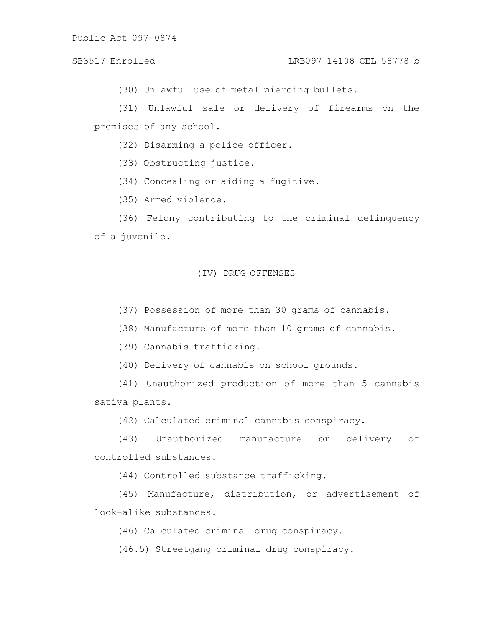(30) Unlawful use of metal piercing bullets.

(31) Unlawful sale or delivery of firearms on the premises of any school.

(32) Disarming a police officer.

(33) Obstructing justice.

(34) Concealing or aiding a fugitive.

(35) Armed violence.

(36) Felony contributing to the criminal delinquency of a juvenile.

#### (IV) DRUG OFFENSES

(37) Possession of more than 30 grams of cannabis.

(38) Manufacture of more than 10 grams of cannabis.

(39) Cannabis trafficking.

(40) Delivery of cannabis on school grounds.

(41) Unauthorized production of more than 5 cannabis sativa plants.

(42) Calculated criminal cannabis conspiracy.

(43) Unauthorized manufacture or delivery of controlled substances.

(44) Controlled substance trafficking.

(45) Manufacture, distribution, or advertisement of look-alike substances.

(46) Calculated criminal drug conspiracy.

(46.5) Streetgang criminal drug conspiracy.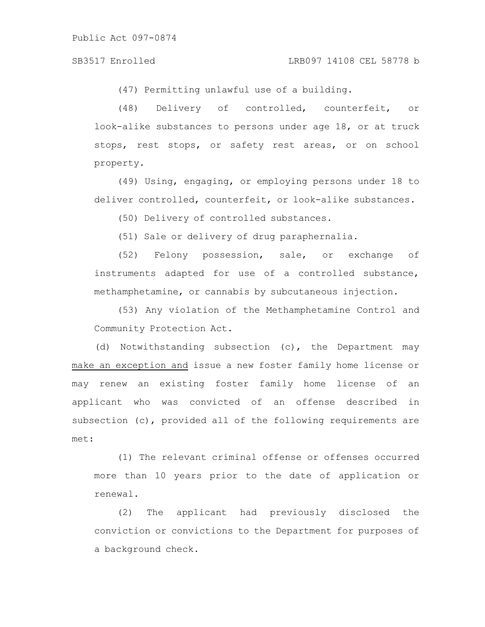(47) Permitting unlawful use of a building.

(48) Delivery of controlled, counterfeit, or look-alike substances to persons under age 18, or at truck stops, rest stops, or safety rest areas, or on school property.

(49) Using, engaging, or employing persons under 18 to deliver controlled, counterfeit, or look-alike substances.

(50) Delivery of controlled substances.

(51) Sale or delivery of drug paraphernalia.

(52) Felony possession, sale, or exchange of instruments adapted for use of a controlled substance, methamphetamine, or cannabis by subcutaneous injection.

(53) Any violation of the Methamphetamine Control and Community Protection Act.

(d) Notwithstanding subsection (c), the Department may make an exception and issue a new foster family home license or may renew an existing foster family home license of an applicant who was convicted of an offense described in subsection (c), provided all of the following requirements are met:

(1) The relevant criminal offense or offenses occurred more than 10 years prior to the date of application or renewal.

(2) The applicant had previously disclosed the conviction or convictions to the Department for purposes of a background check.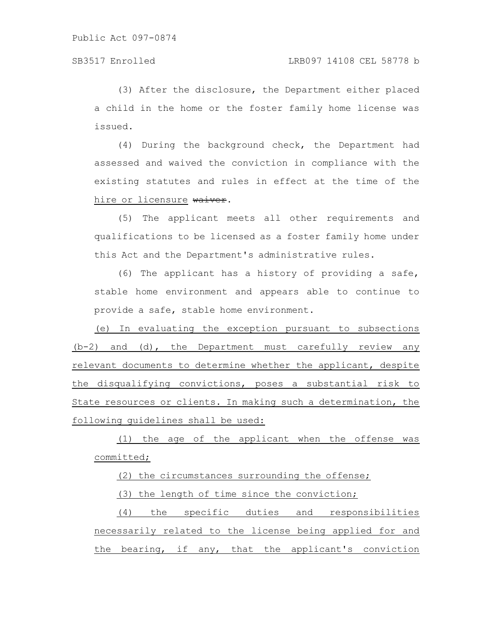(3) After the disclosure, the Department either placed a child in the home or the foster family home license was issued.

(4) During the background check, the Department had assessed and waived the conviction in compliance with the existing statutes and rules in effect at the time of the hire or licensure waiver.

(5) The applicant meets all other requirements and qualifications to be licensed as a foster family home under this Act and the Department's administrative rules.

(6) The applicant has a history of providing a safe, stable home environment and appears able to continue to provide a safe, stable home environment.

(e) In evaluating the exception pursuant to subsections (b-2) and (d), the Department must carefully review any relevant documents to determine whether the applicant, despite the disqualifying convictions, poses a substantial risk to State resources or clients. In making such a determination, the following guidelines shall be used:

(1) the age of the applicant when the offense was committed;

(2) the circumstances surrounding the offense;

(3) the length of time since the conviction;

(4) the specific duties and responsibilities necessarily related to the license being applied for and the bearing, if any, that the applicant's conviction